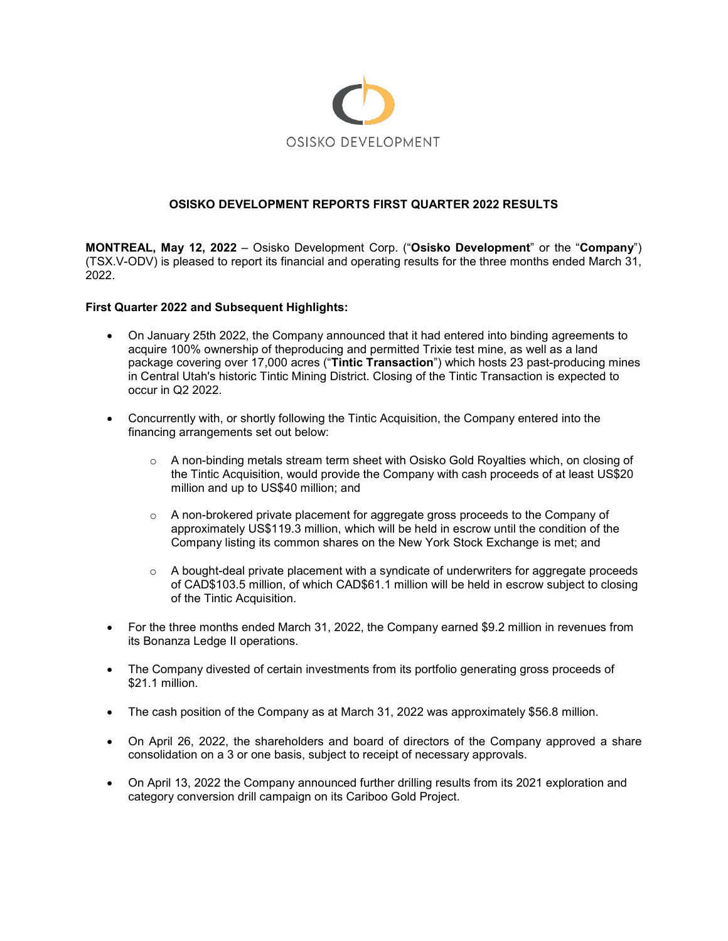

# **OSISKO DEVELOPMENT REPORTS FIRST QUARTER 2022 RESULTS**

**MONTREAL, May 12, 2022** – Osisko Development Corp. ("**Osisko Development**" or the "**Company**") (TSX.V-ODV) is pleased to report its financial and operating results for the three months ended March 31, 2022.

# **First Quarter 2022 and Subsequent Highlights:**

- On January 25th 2022, the Company announced that it had entered into binding agreements to acquire 100% ownership of theproducing and permitted Trixie test mine, as well as a land package covering over 17,000 acres ("**Tintic Transaction**") which hosts 23 past-producing mines in Central Utah's historic Tintic Mining District. Closing of the Tintic Transaction is expected to occur in Q2 2022.
- Concurrently with, or shortly following the Tintic Acquisition, the Company entered into the financing arrangements set out below:
	- $\circ$  A non-binding metals stream term sheet with Osisko Gold Royalties which, on closing of the Tintic Acquisition, would provide the Company with cash proceeds of at least US\$20 million and up to US\$40 million; and
	- o A non-brokered private placement for aggregate gross proceeds to the Company of approximately US\$119.3 million, which will be held in escrow until the condition of the Company listing its common shares on the New York Stock Exchange is met; and
	- $\circ$  A bought-deal private placement with a syndicate of underwriters for aggregate proceeds of CAD\$103.5 million, of which CAD\$61.1 million will be held in escrow subject to closing of the Tintic Acquisition.
- For the three months ended March 31, 2022, the Company earned \$9.2 million in revenues from its Bonanza Ledge II operations.
- The Company divested of certain investments from its portfolio generating gross proceeds of \$21.1 million.
- The cash position of the Company as at March 31, 2022 was approximately \$56.8 million.
- On April 26, 2022, the shareholders and board of directors of the Company approved a share consolidation on a 3 or one basis, subject to receipt of necessary approvals.
- On April 13, 2022 the Company announced further drilling results from its 2021 exploration and category conversion drill campaign on its Cariboo Gold Project.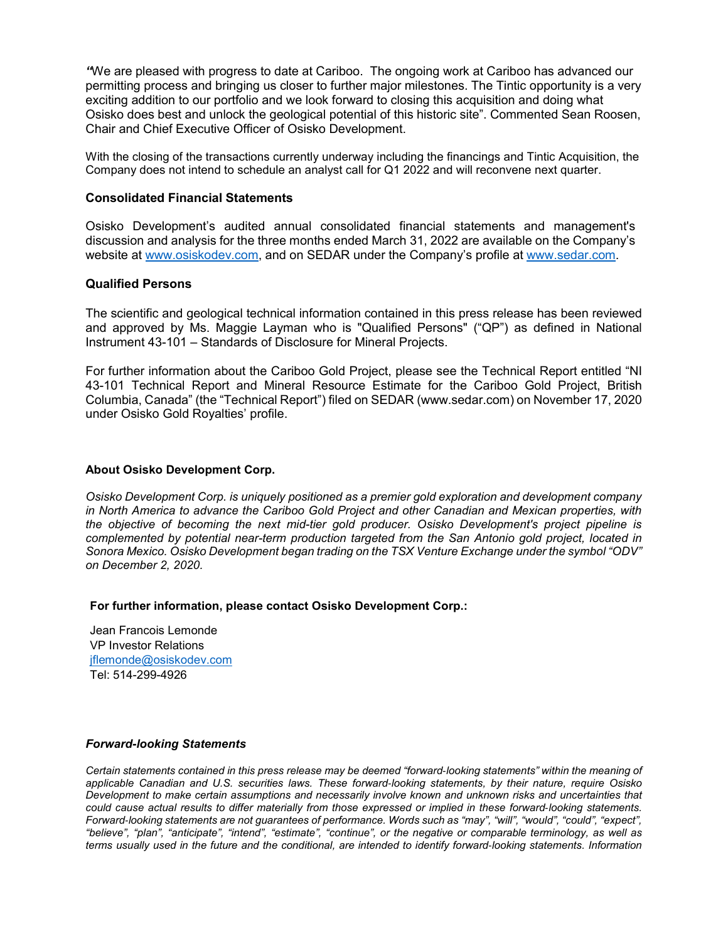*"*We are pleased with progress to date at Cariboo. The ongoing work at Cariboo has advanced our permitting process and bringing us closer to further major milestones. The Tintic opportunity is a very exciting addition to our portfolio and we look forward to closing this acquisition and doing what Osisko does best and unlock the geological potential of this historic site". Commented Sean Roosen, Chair and Chief Executive Officer of Osisko Development.

With the closing of the transactions currently underway including the financings and Tintic Acquisition, the Company does not intend to schedule an analyst call for Q1 2022 and will reconvene next quarter.

# **Consolidated Financial Statements**

Osisko Development's audited annual consolidated financial statements and management's discussion and analysis for the three months ended March 31, 2022 are available on the Company's website at www.osiskodev.com, and on SEDAR under the Company's profile at [www.sedar.com.](http://www.sedar.com/)

# **Qualified Persons**

The scientific and geological technical information contained in this press release has been reviewed and approved by Ms. Maggie Layman who is "Qualified Persons" ("QP") as defined in National Instrument 43-101 – Standards of Disclosure for Mineral Projects.

For further information about the Cariboo Gold Project, please see the Technical Report entitled "NI 43-101 Technical Report and Mineral Resource Estimate for the Cariboo Gold Project, British Columbia, Canada" (the "Technical Report") filed on SEDAR (www.sedar.com) on November 17, 2020 under Osisko Gold Royalties' profile.

# **About Osisko Development Corp.**

*Osisko Development Corp. is uniquely positioned as a premier gold exploration and development company in North America to advance the Cariboo Gold Project and other Canadian and Mexican properties, with the objective of becoming the next mid-tier gold producer. Osisko Development's project pipeline is complemented by potential near-term production targeted from the San Antonio gold project, located in Sonora Mexico. Osisko Development began trading on the TSX Venture Exchange under the symbol "ODV" on December 2, 2020.* 

# **For further information, please contact Osisko Development Corp.:**

Jean Francois Lemonde VP Investor Relations [jflemonde@osiskodev.com](mailto:jflemonde@osiskodev.com) Tel: 514-299-4926

# *Forward-looking Statements*

*Certain statements contained in this press release may be deemed "forward*‐*looking statements" within the meaning of applicable Canadian and U.S. securities laws. These forward*‐*looking statements, by their nature, require Osisko Development to make certain assumptions and necessarily involve known and unknown risks and uncertainties that could cause actual results to differ materially from those expressed or implied in these forward*‐*looking statements. Forward*‐*looking statements are not guarantees of performance. Words such as "may", "will", "would", "could", "expect", "believe", "plan", "anticipate", "intend", "estimate", "continue", or the negative or comparable terminology, as well as terms usually used in the future and the conditional, are intended to identify forward*‐*looking statements. Information*